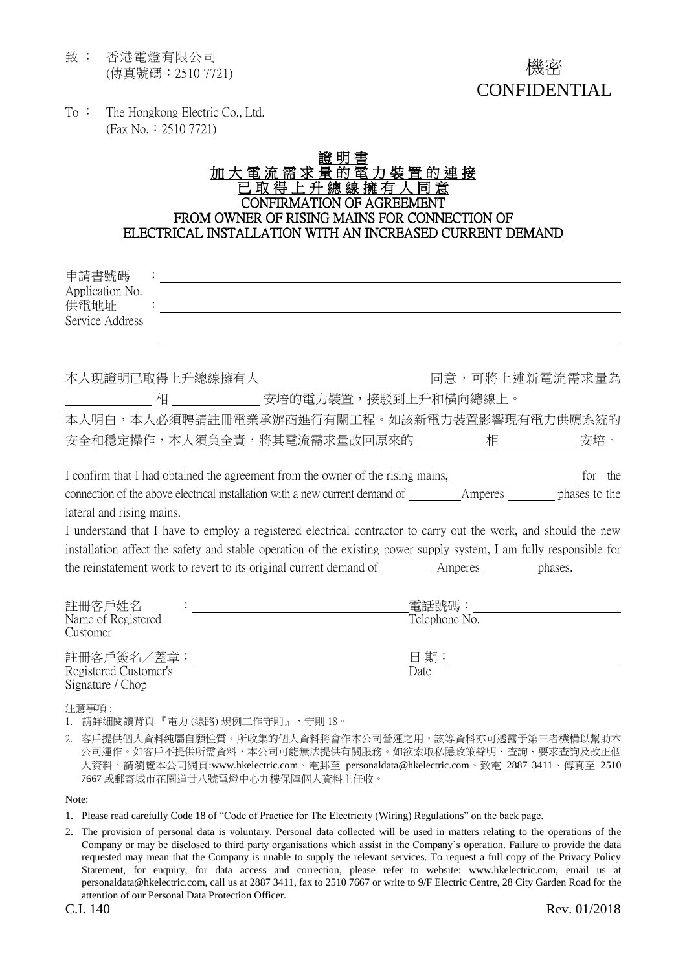致 : 香港電燈有限公司 (傳真號碼:2510 7721)

To : The Hongkong Electric Co., Ltd. (Fax No.:2510 7721)

## 證 明 加大電流需求量的電力裝置的連接 已 取 得 上 升 總 線 擁 有 人 同 意 CONFIRMATION OF AGREEMENT FROM OWNER OF RISING MAINS FOR CONNECTION OF ELECTRICAL INSTALLATION WITH AN INCREASED CURRENT DEMAND

| 申請書號碼                          |                                                                                                                                                                                                                                           |                                                                                                                     |  |
|--------------------------------|-------------------------------------------------------------------------------------------------------------------------------------------------------------------------------------------------------------------------------------------|---------------------------------------------------------------------------------------------------------------------|--|
| Application No.<br>供電地址        |                                                                                                                                                                                                                                           |                                                                                                                     |  |
| Service Address                |                                                                                                                                                                                                                                           |                                                                                                                     |  |
|                                |                                                                                                                                                                                                                                           |                                                                                                                     |  |
|                                |                                                                                                                                                                                                                                           | 本人現證明已取得上升總線擁有人              同意,可將上述新電流需求量為                                                                         |  |
|                                |                                                                                                                                                                                                                                           | _相 _______________ 安培的電力裝置,接駁到上升和橫向總線上。                                                                             |  |
|                                |                                                                                                                                                                                                                                           | 本人明白,本人必須聘請註冊電業承辦商進行有關工程。如該新電力裝置影響現有電力供應系統的                                                                         |  |
|                                |                                                                                                                                                                                                                                           |                                                                                                                     |  |
|                                |                                                                                                                                                                                                                                           | I confirm that I had obtained the agreement from the owner of the rising mains, we can be for the                   |  |
|                                |                                                                                                                                                                                                                                           |                                                                                                                     |  |
| lateral and rising mains.      |                                                                                                                                                                                                                                           |                                                                                                                     |  |
|                                |                                                                                                                                                                                                                                           | I understand that I have to employ a registered electrical contractor to carry out the work, and should the new     |  |
|                                |                                                                                                                                                                                                                                           | installation affect the safety and stable operation of the existing power supply system, I am fully responsible for |  |
|                                |                                                                                                                                                                                                                                           |                                                                                                                     |  |
| 註冊客戶姓名                         | $\mathcal{O}(\mathcal{O}(1))$ . The set of the set of the set of the set of the set of the set of the set of the set of the set of the set of the set of the set of the set of the set of the set of the set of the set of the set of the | 電話號碼:____________________                                                                                           |  |
| Name of Registered<br>Customer |                                                                                                                                                                                                                                           | Telephone No.                                                                                                       |  |
|                                |                                                                                                                                                                                                                                           |                                                                                                                     |  |

Registered Customer's Date Signature / Chop

注意事項 :

1. 請詳細閱讀背頁『電力 (線路) 規例工作守則』, 守則 18。

2. 客戶提供個人資料純屬自願性質。所收集的個人資料將會作本公司營運之用,該等資料亦可透露予第三者機構以幫助本 公司運作。如客戶不提供所需資料,本公司可能無法提供有關服務。如欲索取私隱政策聲明、查詢、要求查詢及改正個 人資料,請瀏覽本公司網頁:www.hkelectric.com、電郵至 personaldata@hkelectric.com、致電 2887 3411、傳真至 2510 7667 或郵寄城市花園道廿八號電燈中心九樓保障個人資料主任收。

Note:

- 1. Please read carefully Code 18 of "Code of Practice for The Electricity (Wiring) Regulations" on the back page.
- 2. The provision of personal data is voluntary. Personal data collected will be used in matters relating to the operations of the Company or may be disclosed to third party organisations which assist in the Company's operation. Failure to provide the data requested may mean that the Company is unable to supply the relevant services. To request a full copy of the Privacy Policy Statement, for enquiry, for data access and correction, please refer to website: www.hkelectric.com, email us at personaldata@hkelectric.com, call us at 2887 3411, fax to 2510 7667 or write to 9/F Electric Centre, 28 City Garden Road for the attention of our Personal Data Protection Officer.